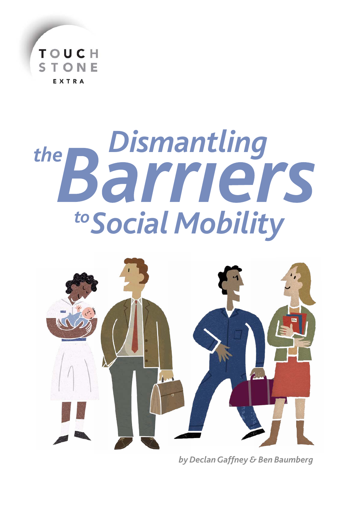

# *Social Mobility to*the **Barring**<br>**Barriers**



*by Declan Gaffney & Ben Baumberg*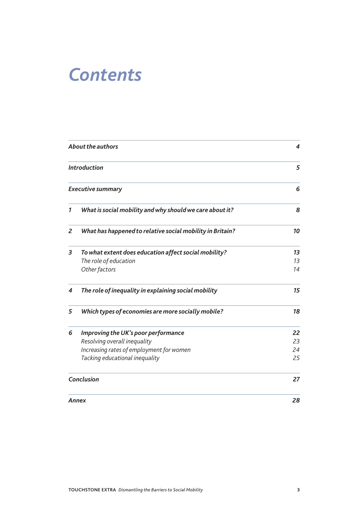### *Contents*

|   | About the authors<br><b>Introduction</b><br><b>Executive summary</b><br>What is social mobility and why should we care about it? | $\overline{\bf 4}$ |
|---|----------------------------------------------------------------------------------------------------------------------------------|--------------------|
|   |                                                                                                                                  | 5                  |
|   |                                                                                                                                  | 6                  |
| 1 |                                                                                                                                  | 8                  |
| 2 | What has happened to relative social mobility in Britain?                                                                        | 10                 |
| 3 | To what extent does education affect social mobility?                                                                            | 13                 |
|   | The role of education                                                                                                            | 13                 |
|   | Other factors                                                                                                                    | 14                 |
| 4 | The role of inequality in explaining social mobility                                                                             | 15                 |
| 5 | Which types of economies are more socially mobile?                                                                               | 18                 |
| 6 | Improving the UK's poor performance                                                                                              | 22                 |
|   | Resolving overall inequality                                                                                                     | 23                 |
|   | Increasing rates of employment for women                                                                                         | 24                 |
|   | Tacking educational inequality                                                                                                   | 25                 |
|   | Conclusion                                                                                                                       | 27                 |
|   | <b>Annex</b>                                                                                                                     | 28                 |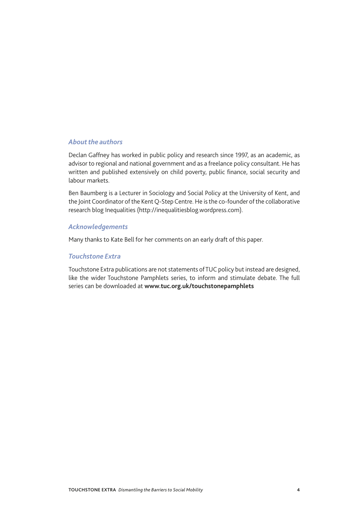### *About the authors*

Declan Gaffney has worked in public policy and research since 1997, as an academic, as advisor to regional and national government and as a freelance policy consultant. He has written and published extensively on child poverty, public finance, social security and labour markets.

Ben Baumberg is a Lecturer in Sociology and Social Policy at the University of Kent, and the Joint Coordinator of the Kent Q-Step Centre. He is the co-founder of the collaborative research blog Inequalities (http://inequalitiesblog.wordpress.com).

#### *Acknowledgements*

Many thanks to Kate Bell for her comments on an early draft of this paper.

### *Touchstone Extra*

Touchstone Extra publications are not statements of TUC policy but instead are designed, like the wider Touchstone Pamphlets series, to inform and stimulate debate. The full series can be downloaded at **www.tuc.org.uk/touchstonepamphlets**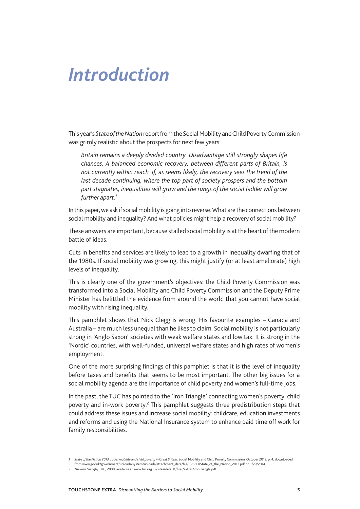### *Introduction*

This year's *State of the Nation* report from the Social Mobility and Child Poverty Commission was grimly realistic about the prospects for next few years:

*Britain remains a deeply divided country. Disadvantage still strongly shapes life chances. A balanced economic recovery, between different parts of Britain, is not currently within reach. If, as seems likely, the recovery sees the trend of the*  last decade continuing, where the top part of society prospers and the bottom *part stagnates, inequalities will grow and the rungs of the social ladder will grow further apart.1*

In this paper, we ask if social mobility is going into reverse. What are the connections between social mobility and inequality? And what policies might help a recovery of social mobility?

These answers are important, because stalled social mobility is at the heart of the modern battle of ideas.

Cuts in benefits and services are likely to lead to a growth in inequality dwarfing that of the 1980s. If social mobility was growing, this might justify (or at least ameliorate) high levels of inequality.

This is clearly one of the government's objectives: the Child Poverty Commission was transformed into a Social Mobility and Child Poverty Commission and the Deputy Prime Minister has belittled the evidence from around the world that you cannot have social mobility with rising inequality.

This pamphlet shows that Nick Clegg is wrong. His favourite examples – Canada and Australia – are much less unequal than he likes to claim. Social mobility is not particularly strong in 'Anglo Saxon' societies with weak welfare states and low tax. It is strong in the 'Nordic' countries, with well-funded, universal welfare states and high rates of women's employment.

One of the more surprising findings of this pamphlet is that it is the level of inequality before taxes and benefits that seems to be most important. The other big issues for a social mobility agenda are the importance of child poverty and women's full-time jobs.

In the past, the TUC has pointed to the 'Iron Triangle' connecting women's poverty, child poverty and in-work poverty.<sup>2</sup> This pamphlet suggests three predistribution steps that could address these issues and increase social mobility: childcare, education investments and reforms and using the National Insurance system to enhance paid time off work for family responsibilities.

<sup>1</sup> *State of the Nation 2013: social mobility and child poverty in Great Britain,* Social Mobility and Child Poverty Commission, October 2013, p. 4, downloaded

from www.gov.uk/government/uploads/system/uploads/attachment\_data/file/251213/State\_of\_the\_Nation\_2013.pdf on 1/29/2014

<sup>2</sup> *The Iron Triangle,* TUC, 2008, available at www.tuc.org.uk/sites/default/files/extras/irontriangle.pdf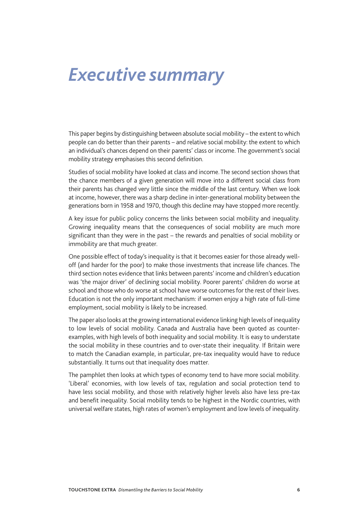### *Executive summary*

This paper begins by distinguishing between absolute social mobility – the extent to which people can do better than their parents – and relative social mobility: the extent to which an individual's chances depend on their parents' class or income. The government's social mobility strategy emphasises this second definition.

Studies of social mobility have looked at class and income. The second section shows that the chance members of a given generation will move into a different social class from their parents has changed very little since the middle of the last century. When we look at income, however, there was a sharp decline in inter-generational mobility between the generations born in 1958 and 1970, though this decline may have stopped more recently.

A key issue for public policy concerns the links between social mobility and inequality. Growing inequality means that the consequences of social mobility are much more significant than they were in the past – the rewards and penalties of social mobility or immobility are that much greater.

One possible effect of today's inequality is that it becomes easier for those already welloff (and harder for the poor) to make those investments that increase life chances. The third section notes evidence that links between parents' income and children's education was 'the major driver' of declining social mobility. Poorer parents' children do worse at school and those who do worse at school have worse outcomes for the rest of their lives. Education is not the only important mechanism: if women enjoy a high rate of full-time employment, social mobility is likely to be increased.

The paper also looks at the growing international evidence linking high levels of inequality to low levels of social mobility. Canada and Australia have been quoted as counterexamples, with high levels of both inequality and social mobility. It is easy to understate the social mobility in these countries and to over-state their inequality. If Britain were to match the Canadian example, in particular, pre-tax inequality would have to reduce substantially. It turns out that inequality does matter.

The pamphlet then looks at which types of economy tend to have more social mobility. 'Liberal' economies, with low levels of tax, regulation and social protection tend to have less social mobility, and those with relatively higher levels also have less pre-tax and benefit inequality. Social mobility tends to be highest in the Nordic countries, with universal welfare states, high rates of women's employment and low levels of inequality.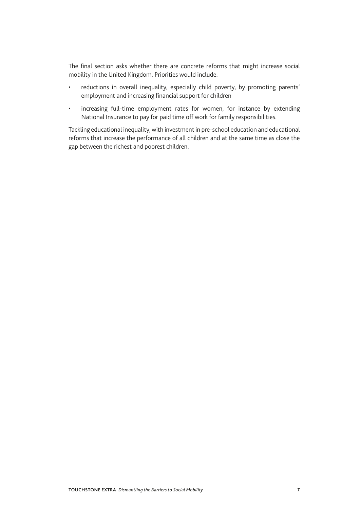The final section asks whether there are concrete reforms that might increase social mobility in the United Kingdom. Priorities would include:

- • reductions in overall inequality, especially child poverty, by promoting parents' employment and increasing financial support for children
- • increasing full-time employment rates for women, for instance by extending National Insurance to pay for paid time off work for family responsibilities.

Tackling educational inequality, with investment in pre-school education and educational reforms that increase the performance of all children and at the same time as close the gap between the richest and poorest children.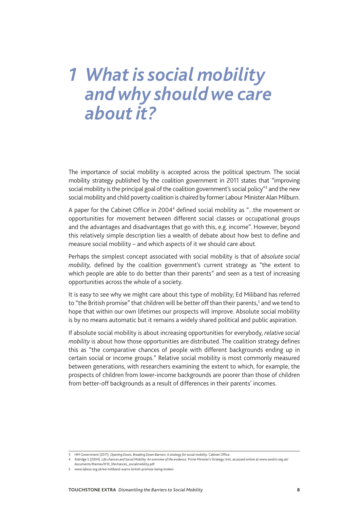### *1 What is social mobility and why should we care about it?*

The importance of social mobility is accepted across the political spectrum. The social mobility strategy published by the coalition government in 2011 states that "improving social mobility is the principal goal of the coalition government's social policy"<sup>3</sup> and the new social mobility and child poverty coalition is chaired by former Labour Minister Alan Milburn.

A paper for the Cabinet Office in 2004<sup>4</sup> defined social mobility as "...the movement or opportunities for movement between different social classes or occupational groups and the advantages and disadvantages that go with this, e.g. income". However, beyond this relatively simple description lies a wealth of debate about how best to define and measure social mobility – and which aspects of it we should care about.

Perhaps the simplest concept associated with social mobility is that of *absolute social mobility,* defined by the coalition government's current strategy as "the extent to which people are able to do better than their parents" and seen as a test of increasing opportunities across the whole of a society.

It is easy to see why we might care about this type of mobility; Ed Miliband has referred to "the British promise" that children will be better off than their parents,<sup>5</sup> and we tend to hope that within our own lifetimes our prospects will improve. Absolute social mobility is by no means automatic but it remains a widely shared political and public aspiration.

If absolute social mobility is about increasing opportunities for everybody, *relative social mobility* is about how those opportunities are distributed. The coalition strategy defines this as "the comparative chances of people with different backgrounds ending up in certain social or income groups." Relative social mobility is most commonly measured between generations, with researchers examining the extent to which, for example, the prospects of children from lower-income backgrounds are poorer than those of children from better-off backgrounds as a result of differences in their parents' incomes.

<sup>3</sup> HM Government (2011). *Opening Doors, Breaking Down Barriers: A strategy for social mobility.* Cabinet Office.

<sup>4</sup> Aldridge S (2004). *Life chances and Social Mobility: An overview of the evidence.* Prime Minister's Strategy Unit, accessed online at www.swslim.org.uk/

documents/themes/lt10\_lifechances\_socialmobility.pdf

<sup>5</sup> www.labour.org.uk/ed-miliband-warns-british-promise-being-broken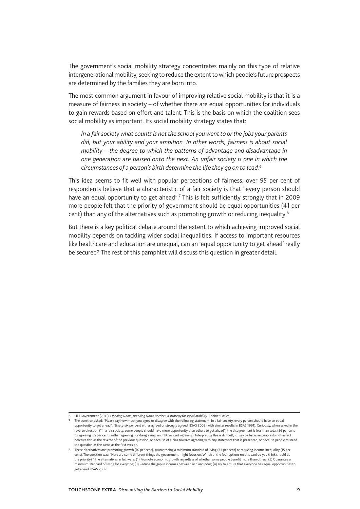The government's social mobility strategy concentrates mainly on this type of relative intergenerational mobility, seeking to reduce the extent to which people's future prospects are determined by the families they are born into.

The most common argument in favour of improving relative social mobility is that it is a measure of fairness in society – of whether there are equal opportunities for individuals to gain rewards based on effort and talent. This is the basis on which the coalition sees social mobility as important. Its social mobility strategy states that:

*In a fair society what counts is not the school you went to or the jobs your parents did, but your ability and your ambition. In other words, fairness is about social mobility – the degree to which the patterns of advantage and disadvantage in one generation are passed onto the next. An unfair society is one in which the circumstances of a person's birth determine the life they go on to lead.6*

This idea seems to fit well with popular perceptions of fairness: over 95 per cent of respondents believe that a characteristic of a fair society is that "every person should have an equal opportunity to get ahead".<sup>7</sup> This is felt sufficiently strongly that in 2009 more people felt that the priority of government should be equal opportunities (41 per cent) than any of the alternatives such as promoting growth or reducing inequality.<sup>8</sup>

But there is a key political debate around the extent to which achieving improved social mobility depends on tackling wider social inequalities. If access to important resources like healthcare and education are unequal, can an 'equal opportunity to get ahead' really be secured? The rest of this pamphlet will discuss this question in greater detail.

<sup>6</sup> HM Government (2011). *Opening Doors, Breaking Down Barriers: A strategy for social mobility.* Cabinet Office.

<sup>7</sup> The question asked: "Please say how much you agree or disagree with the following statement. In a fair society, every person should have an equal opportunity to get ahead". Ninety-six per cent either agreed or strongly agreed. BSAS 2009 (with similar results in BSAS 1991). Curiously, when asked in the reverse direction ("In a fair society, some people should have more opportunity than others to get ahead") the disagreement is less than total (56 per cent disagreeing, 25 per cent neither agreeing nor disagreeing, and 19 per cent agreeing). Interpreting this is difficult; it may be because people do not in fact perceive this as the reverse of the previous question, or because of a bias towards agreeing with any statement that is presented, or because people misread the question as the same as the first version.

<sup>8</sup> These alternatives are: promoting growth (10 per cent), guaranteeing a minimum standard of living (34 per cent) or reducing income inequality (15 per cent). The question was: "Here are some different things the government might focus on. Which of the four options on this card do you think should be the priority?"; the alternatives in full were: (1) Promote economic growth regardless of whether some people benefit more than others; (2) Guarantee a minimum standard of living for everyone; (3) Reduce the gap in incomes between rich and poor; (4) Try to ensure that everyone has equal opportunities to get ahead. BSAS 2009.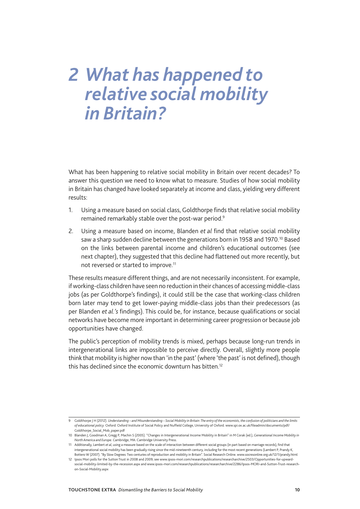### *2 What has happened to relative social mobility in Britain?*

What has been happening to relative social mobility in Britain over recent decades? To answer this question we need to know what to measure. Studies of how social mobility in Britain has changed have looked separately at income and class, yielding very different results:

- 1. Using a measure based on social class, Goldthorpe finds that relative social mobility remained remarkably stable over the post-war period.9
- 2. Using a measure based on income, Blanden *et al* find that relative social mobility saw a sharp sudden decline between the generations born in 1958 and 1970.10 Based on the links between parental income and children's educational outcomes (see next chapter), they suggested that this decline had flattened out more recently, but not reversed or started to improve.11

These results measure different things, and are not necessarily inconsistent. For example, if working-class children have seen no reduction in their chances of accessing middle-class jobs (as per Goldthorpe's findings), it could still be the case that working-class children born later may tend to get lower-paying middle-class jobs than their predecessors (as per Blanden *et al.'s* findings). This could be, for instance, because qualifications or social networks have become more important in determining career progression or because job opportunities have changed.

The public's perception of mobility trends is mixed, perhaps because long-run trends in intergenerational links are impossible to perceive directly. Overall, slightly more people think that mobility is higher now than 'in the past' (where 'the past' is not defined), though this has declined since the economic downturn has bitten.<sup>12</sup>

<sup>9</sup> Goldthorpe | H (2012). *Understanding – and Misunderstanding – Social Mobility in Britain: The entry of the economists, the confusion of politicians and the limits of educational policy.* Oxford: Oxford Institute of Social Policy and Nuffield College, University of Oxford. www.spi.ox.ac.uk/fileadmin/documents/pdf/ Goldthorpe\_Social\_Mob\_paper.pdf

<sup>10</sup> Blanden J, Goodman A, Gregg P, Machin S (2005). "Changes in Intergenerational Income Mobility in Britain" in M Corak (ed.), *Generational Income Mobility in North America and Europe.* Cambridge, MA: Cambridge University Press.

<sup>11</sup> Additionally, Lambert *et al*, using a measure based on the scale of interaction between different social groups (in part based on marriage records), find that intergenerational social mobility has been gradually rising since the mid-nineteenth century, including for the most recent generations (Lambert P, Prandy K, Bottero W (2007). "By Slow Degrees: Two centuries of reproduction and mobility in Britain". Social Research Online. www.socresonline.org.uk/12/1/prandy.html

<sup>12</sup> Ipsos Mori polls for the Sutton Trust in 2008 and 2009; see www.ipsos-mori.com/researchpublications/researcharchive/2503/Opportunities-for-upwardsocial-mobility-limited-by-the-recession.aspx and www.ipsos-mori.com/researchpublications/researcharchive/2286/Ipsos-MORI-and-Sutton-Trust-researchon-Social-Mobility.aspx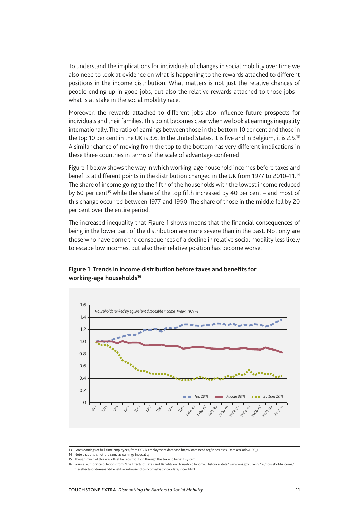To understand the implications for individuals of changes in social mobility over time we also need to look at evidence on what is happening to the rewards attached to different positions in the income distribution. What matters is not just the relative chances of people ending up in good jobs, but also the relative rewards attached to those jobs – what is at stake in the social mobility race.

Moreover, the rewards attached to different jobs also influence future prospects for individuals and their families. This point becomes clear when we look at earnings inequality internationally. The ratio of earnings between those in the bottom 10 per cent and those in the top 10 per cent in the UK is 3.6. In the United States, it is five and in Belgium, it is 2.5.<sup>13</sup> A similar chance of moving from the top to the bottom has very different implications in these three countries in terms of the scale of advantage conferred.

Figure 1 below shows the way in which working-age household incomes before taxes and benefits at different points in the distribution changed in the UK from 1977 to 2010–11.<sup>14</sup> The share of income going to the fifth of the households with the lowest income reduced by 60 per cent<sup>15</sup> while the share of the top fifth increased by 40 per cent – and most of this change occurred between 1977 and 1990. The share of those in the middle fell by 20 per cent over the entire period.

The increased inequality that Figure 1 shows means that the financial consequences of being in the lower part of the distribution are more severe than in the past. Not only are those who have borne the consequences of a decline in relative social mobility less likely to escape low incomes, but also their relative position has become worse.



### **Figure 1: Trends in income distribution before taxes and benefits for working-age households16**

<sup>13</sup> Gross earnings of full-time employees, from OECD employment database http://stats.oecd.org/Index.aspx?DatasetCode=DEC\_I

<sup>14</sup> Note that this is not the same as earnings inequality

<sup>15</sup> Though much of this was offset by redistribution through the tax and benefit system

<sup>16</sup> Source: authors' calculations from "The Effects of Taxes and Benefits on Household Income: Historical data" www.ons.gov.uk/ons/rel/household-income/ the-effects-of-taxes-and-benefits-on-household-income/historical-data/index.html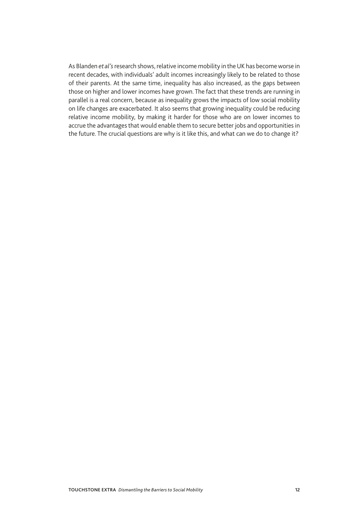As Blanden *et al's* research shows, relative income mobility in the UK has become worse in recent decades, with individuals' adult incomes increasingly likely to be related to those of their parents. At the same time, inequality has also increased, as the gaps between those on higher and lower incomes have grown. The fact that these trends are running in parallel is a real concern, because as inequality grows the impacts of low social mobility on life changes are exacerbated. It also seems that growing inequality could be reducing relative income mobility, by making it harder for those who are on lower incomes to accrue the advantages that would enable them to secure better jobs and opportunities in the future. The crucial questions are why is it like this, and what can we do to change it?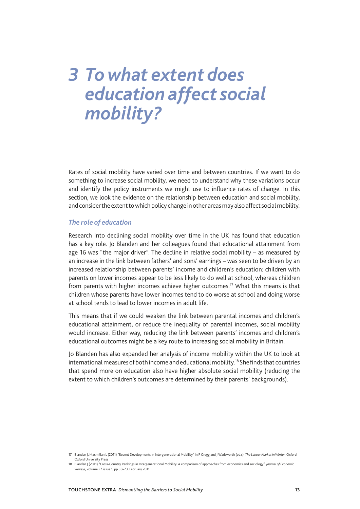### *3 To what extent does education affect social mobility?*

Rates of social mobility have varied over time and between countries. If we want to do something to increase social mobility, we need to understand why these variations occur and identify the policy instruments we might use to influence rates of change. In this section, we look the evidence on the relationship between education and social mobility, and consider the extent to which policy change in other areas may also affect social mobility.

#### *The role of education*

Research into declining social mobility over time in the UK has found that education has a key role. Jo Blanden and her colleagues found that educational attainment from age 16 was "the major driver". The decline in relative social mobility  $-$  as measured by an increase in the link between fathers' and sons' earnings – was seen to be driven by an increased relationship between parents' income and children's education: children with parents on lower incomes appear to be less likely to do well at school, whereas children from parents with higher incomes achieve higher outcomes.<sup>17</sup> What this means is that children whose parents have lower incomes tend to do worse at school and doing worse at school tends to lead to lower incomes in adult life.

This means that if we could weaken the link between parental incomes and children's educational attainment, or reduce the inequality of parental incomes, social mobility would increase. Either way, reducing the link between parents' incomes and children's educational outcomes might be a key route to increasing social mobility in Britain.

Jo Blanden has also expanded her analysis of income mobility within the UK to look at international measures of both income and educational mobility.<sup>18</sup> She finds that countries that spend more on education also have higher absolute social mobility (reducing the extent to which children's outcomes are determined by their parents' backgrounds).

<sup>17</sup> Blanden J, Macmillan L (2011) "Recent Developments in Intergenerational Mobility" in P Gregg and J Wadsworth (ed.s), *The Labour Market in Winter.* Oxford: Oxford University Press

<sup>18</sup> Blanden J (2011) "Cross-Country Rankings in Intergenerational Mobility: A comparison of approaches from economics and sociology", *Journal of Economic Surveys,* volume 27, issue 1, pp.38–73, February 2011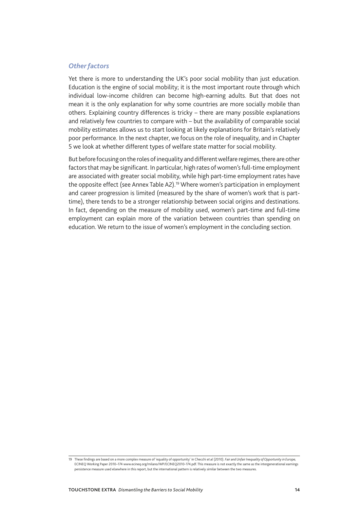### *Other factors*

Yet there is more to understanding the UK's poor social mobility than just education. Education is the engine of social mobility; it is the most important route through which individual low-income children can become high-earning adults. But that does not mean it is the only explanation for why some countries are more socially mobile than others. Explaining country differences is tricky – there are many possible explanations and relatively few countries to compare with – but the availability of comparable social mobility estimates allows us to start looking at likely explanations for Britain's relatively poor performance. In the next chapter, we focus on the role of inequality, and in Chapter 5 we look at whether different types of welfare state matter for social mobility.

But before focusing on the roles of inequality and different welfare regimes, there are other factors that may be significant. In particular, high rates of women's full-time employment are associated with greater social mobility, while high part-time employment rates have the opposite effect (see Annex Table A2).<sup>19</sup> Where women's participation in employment and career progression is limited (measured by the share of women's work that is parttime), there tends to be a stronger relationship between social origins and destinations. In fact, depending on the measure of mobility used, women's part-time and full-time employment can explain more of the variation between countries than spending on education. We return to the issue of women's employment in the concluding section.

<sup>19</sup> These findings are based on a more complex measure of 'equality of opportunity' in Checchi *et al* (2010). *Fair and Unfair Inequality of Opportunity in Europe,*  ECINEQ Working Paper 2010–174 www.ecineq.org/milano/WP/ECINEQ2010-174.pdf. This measure is not exactly the same as the intergenerational earnings persistence measure used elsewhere in this report, but the international pattern is relatively similar between the two measures.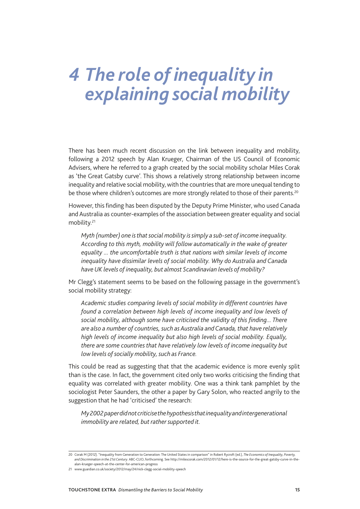# *4 The role of inequality in explaining social mobility*

There has been much recent discussion on the link between inequality and mobility, following a 2012 speech by Alan Krueger, Chairman of the US Council of Economic Advisers, where he referred to a graph created by the social mobility scholar Miles Corak as 'the Great Gatsby curve'. This shows a relatively strong relationship between income inequality and relative social mobility, with the countries that are more unequal tending to be those where children's outcomes are more strongly related to those of their parents.<sup>20</sup>

However, this finding has been disputed by the Deputy Prime Minister, who used Canada and Australia as counter-examples of the association between greater equality and social mobility.<sup>21</sup>

*Myth (number) one is that social mobility is simply a sub-set of income inequality. According to this myth, mobility will follow automatically in the wake of greater equality ... the uncomfortable truth is that nations with similar levels of income inequality have dissimilar levels of social mobility. Why do Australia and Canada have UK levels of inequality, but almost Scandinavian levels of mobility?* 

Mr Clegg's statement seems to be based on the following passage in the government's social mobility strategy:

*Academic studies comparing levels of social mobility in different countries have found a correlation between high levels of income inequality and low levels of social mobility, although some have criticised the validity of this finding... There are also a number of countries, such as Australia and Canada, that have relatively high levels of income inequality but also high levels of social mobility. Equally, there are some countries that have relatively low levels of income inequality but low levels of socially mobility, such as France.*

This could be read as suggesting that that the academic evidence is more evenly split than is the case. In fact, the government cited only two works criticising the finding that equality was correlated with greater mobility. One was a think tank pamphlet by the sociologist Peter Saunders, the other a paper by Gary Solon, who reacted angrily to the suggestion that he had 'criticised' the research:

*My 2002 paper did not criticise the hypothesis that inequality and intergenerational immobility are related, but rather supported it.*

<sup>20</sup> Corak M (2012). "Inequality from Generation to Generation: The United States in comparison" in Robert Rycroft (ed.), *The Economics of Inequality, Poverty, and Discrimination in the 21st Century.* ABC-CLIO, forthcoming. See http://milescorak.com/2012/01/12/here-is-the-source-for-the-great-gatsby-curve-in-thealan-krueger-speech-at-the-center-for-american-progress

<sup>21</sup> www.guardian.co.uk/society/2012/may/24/nick-clegg-social-mobility-speech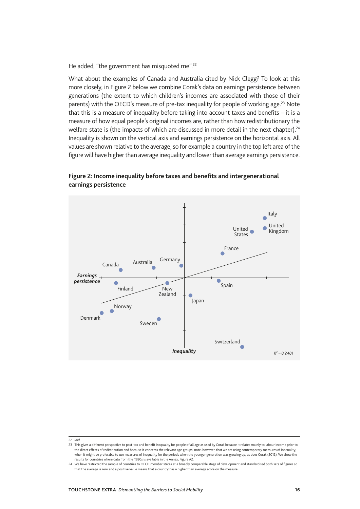He added, "the government has misquoted me".<sup>22</sup>

What about the examples of Canada and Australia cited by Nick Clegg? To look at this more closely, in Figure 2 below we combine Corak's data on earnings persistence between generations (the extent to which children's incomes are associated with those of their parents) with the OECD's measure of pre-tax inequality for people of working age.<sup>23</sup> Note that this is a measure of inequality before taking into account taxes and benefits – it is a measure of how equal people's original incomes are, rather than how redistributionary the welfare state is (the impacts of which are discussed in more detail in the next chapter).<sup>24</sup> Inequality is shown on the vertical axis and earnings persistence on the horizontal axis. All values are shown relative to the average, so for example a country in the top left area of the figure will have higher than average inequality and lower than average earnings persistence.



#### **Figure 2: Income inequality before taxes and benefits and intergenerational earnings persistence**

<sup>22</sup> *Ibid*

<sup>23</sup> This gives a different perspective to post-tax and benefit inequality for people of all age as used by Corak because it relates mainly to labour income prior to the direct effects of redistribution and because it concerns the relevant age groups; note, however, that we are using contemporary measures of inequality, when it might be preferable to use measures of inequality for the periods when the younger generation was growing up, as does Corak (2012). We show the results for countries where data from the 1980s is available in the Annex, Figure A2.

<sup>24</sup> We have restricted the sample of countries to OECD member states at a broadly comparable stage of development and standardised both sets of figures so that the average is zero and a positive value means that a country has a higher than average score on the measure.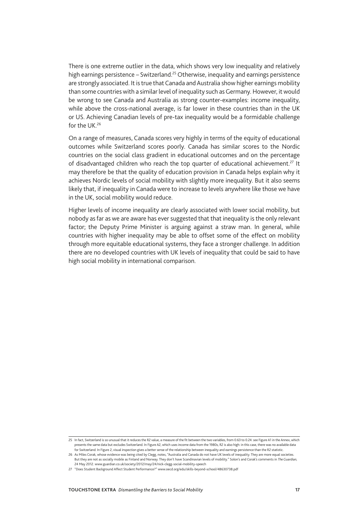There is one extreme outlier in the data, which shows very low inequality and relatively high earnings persistence – Switzerland.<sup>25</sup> Otherwise, inequality and earnings persistence are strongly associated. It is true that Canada and Australia show higher earnings mobility than some countries with a similar level of inequality such as Germany. However, it would be wrong to see Canada and Australia as strong counter-examples: income inequality, while above the cross-national average, is far lower in these countries than in the UK or US. Achieving Canadian levels of pre-tax inequality would be a formidable challenge for the UK.26

On a range of measures, Canada scores very highly in terms of the equity of educational outcomes while Switzerland scores poorly. Canada has similar scores to the Nordic countries on the social class gradient in educational outcomes and on the percentage of disadvantaged children who reach the top quarter of educational achievement.<sup>27</sup> It may therefore be that the quality of education provision in Canada helps explain why it achieves Nordic levels of social mobility with slightly more inequality. But it also seems likely that, if inequality in Canada were to increase to levels anywhere like those we have in the UK, social mobility would reduce.

Higher levels of income inequality are clearly associated with lower social mobility, but nobody as far as we are aware has ever suggested that that inequality is the only relevant factor; the Deputy Prime Minister is arguing against a straw man. In general, while countries with higher inequality may be able to offset some of the effect on mobility through more equitable educational systems, they face a stronger challenge. In addition there are no developed countries with UK levels of inequality that could be said to have high social mobility in international comparison.

<sup>25</sup> In fact, Switzerland is so unusual that it reduces the R2 value, a measure of the fit between the two variables, from 0.63 to 0.24: see Figure A1 in the Annex, which presents the same data but excludes Switzerland. In Figure A2, which uses income data from the 1980s, R2 is also high: in this case, there was no available data for Switzerland. In Figure 2, visual inspection gives a better sense of the relationship between inequality and earnings persistence than the R2 statistic.

<sup>26</sup> As Miles Corak, whose evidence was being cited by Clegg, notes, "Australia and Canada do not have UK levels of inequality. They are more equal societies. But they are not as socially mobile as Finland and Norway. They don't have Scandinavian levels of mobility." Solon's and Corak's comments in *The Guardian,* 24 May 2012. www.guardian.co.uk/society/2012/may/24/nick-clegg-social-mobility-speech

<sup>27</sup> "Does Student Background Affect Student Performance?" www.oecd.org/edu/skills-beyond-school/48630738.pdf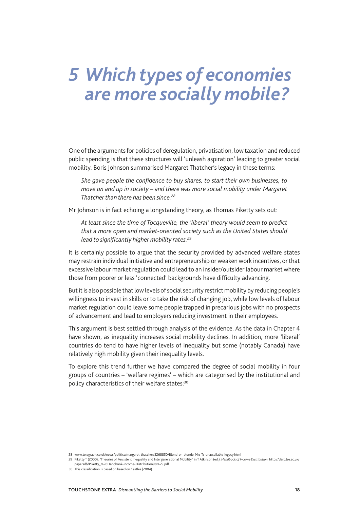### *5 Which types of economies are more socially mobile?*

One of the arguments for policies of deregulation, privatisation, low taxation and reduced public spending is that these structures will 'unleash aspiration' leading to greater social mobility. Boris Johnson summarised Margaret Thatcher's legacy in these terms:

*She gave people the confidence to buy shares, to start their own businesses, to move on and up in society – and there was more social mobility under Margaret Thatcher than there has been since.28*

Mr Johnson is in fact echoing a longstanding theory, as Thomas Piketty sets out:

*At least since the time of Tocqueville, the 'liberal' theory would seem to predict that a more open and market-oriented society such as the United States should lead to significantly higher mobility rates.29*

It is certainly possible to argue that the security provided by advanced welfare states may restrain individual initiative and entrepreneurship or weaken work incentives, or that excessive labour market regulation could lead to an insider/outsider labour market where those from poorer or less 'connected' backgrounds have difficulty advancing.

But it is also possible that low levels of social security restrict mobility by reducing people's willingness to invest in skills or to take the risk of changing job, while low levels of labour market regulation could leave some people trapped in precarious jobs with no prospects of advancement and lead to employers reducing investment in their employees.

This argument is best settled through analysis of the evidence. As the data in Chapter 4 have shown, as inequality increases social mobility declines. In addition, more 'liberal' countries do tend to have higher levels of inequality but some (notably Canada) have relatively high mobility given their inequality levels.

To explore this trend further we have compared the degree of social mobility in four groups of countries – 'welfare regimes' – which are categorised by the institutional and policy characteristics of their welfare states:<sup>30</sup>

<sup>28</sup> www.telegraph.co.uk/news/politics/margaret-thatcher/5268850/Blond-on-blonde-Mrs-Ts-unassailable-legacy.html

<sup>29</sup> Piketty T (2000), "Theories of Persistent Inequality and Intergenerational Mobility" in T Atkinson (ed.), *Handbook of Income Distribution.* http://darp.lse.ac.uk/ papersdb/Piketty\_%28Handbook-Income-Distribution98%29.pdf

<sup>30</sup> This classification is based on based on Castles (2004)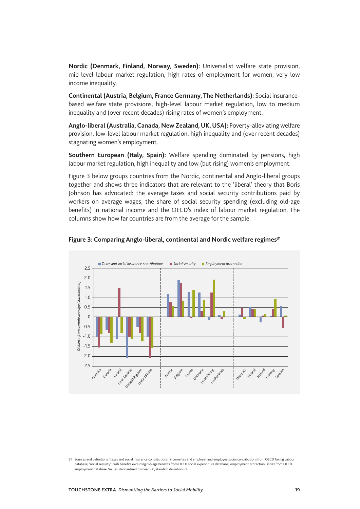**Nordic (Denmark, Finland, Norway, Sweden):** Universalist welfare state provision, mid-level labour market regulation, high rates of employment for women, very low income inequality.

**Continental (Austria, Belgium, France Germany, The Netherlands):** Social insurancebased welfare state provisions, high-level labour market regulation, low to medium inequality and (over recent decades) rising rates of women's employment.

**Anglo-liberal (Australia, Canada, New Zealand, UK, USA):** Poverty-alleviating welfare provision, low-level labour market regulation, high inequality and (over recent decades) stagnating women's employment.

**Southern European (Italy, Spain):** Welfare spending dominated by pensions, high labour market regulation, high inequality and low (but rising) women's employment.

Figure 3 below groups countries from the Nordic, continental and Anglo-liberal groups together and shows three indicators that are relevant to the 'liberal' theory that Boris Johnson has advocated: the average taxes and social security contributions paid by workers on average wages; the share of social security spending (excluding old-age benefits) in national income and the OECD's index of labour market regulation. The columns show how far countries are from the average for the sample.



#### Figure 3: Comparing Anglo-liberal, continental and Nordic welfare regimes<sup>31</sup>

<sup>31</sup> Sources and definitions: 'taxes and social insurance contributions': income tax and employer and employee social contributions from OECD Taxing Labour database; 'social security': cash benefits excluding old-age benefits from OECD social expenditure database; 'employment protection': index from OECD employment database. Values standardised to mean= 0, standard deviation =1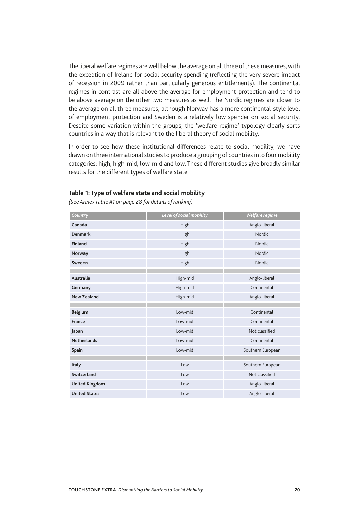The liberal welfare regimes are well below the average on all three of these measures, with the exception of Ireland for social security spending (reflecting the very severe impact of recession in 2009 rather than particularly generous entitlements). The continental regimes in contrast are all above the average for employment protection and tend to be above average on the other two measures as well. The Nordic regimes are closer to the average on all three measures, although Norway has a more continental-style level of employment protection and Sweden is a relatively low spender on social security. Despite some variation within the groups, the 'welfare regime' typology clearly sorts countries in a way that is relevant to the liberal theory of social mobility.

In order to see how these institutional differences relate to social mobility, we have drawn on three international studies to produce a grouping of countries into four mobility categories: high, high-mid, low-mid and low. These different studies give broadly similar results for the different types of welfare state.

| Table 1: Type of welfare state and social mobility |  |  |
|----------------------------------------------------|--|--|
|----------------------------------------------------|--|--|

*(See Annex Table A1 on page 28 for details of ranking)*

| Country        | Level of social mobility | Welfare regime |
|----------------|--------------------------|----------------|
| Canada         | High                     | Anglo-liberal  |
| <b>Denmark</b> | High                     | <b>Nordic</b>  |

| соана у               | LEVELUJ SUCIAL MUUNTLY | weyare regime     |
|-----------------------|------------------------|-------------------|
| Canada                | High                   | Anglo-liberal     |
| <b>Denmark</b>        | High                   | Nordic            |
| Finland               | High                   | Nordic            |
| Norway                | High                   | Nordic            |
| Sweden                | High                   | Nordic            |
|                       |                        |                   |
| Australia             | High-mid               | Anglo-liberal     |
| Germany               | High-mid               | Continental       |
| <b>New Zealand</b>    | High-mid               | Anglo-liberal     |
|                       |                        |                   |
| <b>Belgium</b>        | Low-mid                | Continental       |
| France                | Low-mid                | Continental       |
| Japan                 | Low-mid                | Not classified    |
| <b>Netherlands</b>    | Low-mid                | Continental       |
| Spain                 | Low-mid                | Southern European |
|                       |                        |                   |
| Italy                 | Low                    | Southern European |
| Switzerland           | Low                    | Not classified    |
| <b>United Kingdom</b> | Low                    | Anglo-liberal     |
| <b>United States</b>  | Low                    | Anglo-liberal     |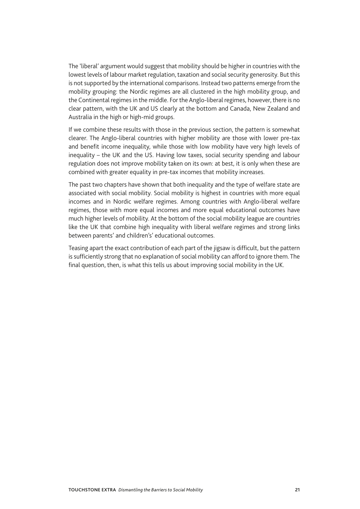The 'liberal' argument would suggest that mobility should be higher in countries with the lowest levels of labour market regulation, taxation and social security generosity. But this is not supported by the international comparisons. Instead two patterns emerge from the mobility grouping: the Nordic regimes are all clustered in the high mobility group, and the Continental regimes in the middle. For the Anglo-liberal regimes, however, there is no clear pattern, with the UK and US clearly at the bottom and Canada, New Zealand and Australia in the high or high-mid groups.

If we combine these results with those in the previous section, the pattern is somewhat clearer. The Anglo-liberal countries with higher mobility are those with lower pre-tax and benefit income inequality, while those with low mobility have very high levels of inequality – the UK and the US. Having low taxes, social security spending and labour regulation does not improve mobility taken on its own: at best, it is only when these are combined with greater equality in pre-tax incomes that mobility increases.

The past two chapters have shown that both inequality and the type of welfare state are associated with social mobility. Social mobility is highest in countries with more equal incomes and in Nordic welfare regimes. Among countries with Anglo-liberal welfare regimes, those with more equal incomes and more equal educational outcomes have much higher levels of mobility. At the bottom of the social mobility league are countries like the UK that combine high inequality with liberal welfare regimes and strong links between parents' and children's' educational outcomes.

Teasing apart the exact contribution of each part of the jigsaw is difficult, but the pattern is sufficiently strong that no explanation of social mobility can afford to ignore them. The final question, then, is what this tells us about improving social mobility in the UK.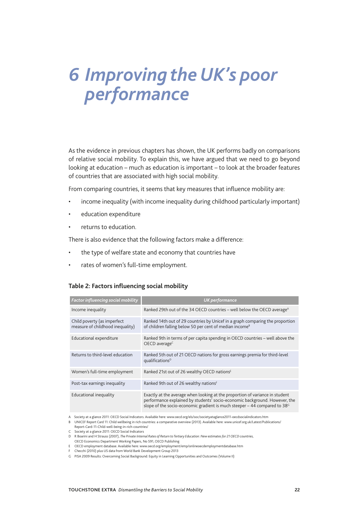### *6 Improving the UK's poor performance*

As the evidence in previous chapters has shown, the UK performs badly on comparisons of relative social mobility. To explain this, we have argued that we need to go beyond looking at education – much as education is important – to look at the broader features of countries that are associated with high social mobility.

From comparing countries, it seems that key measures that influence mobility are:

- income inequality (with income inequality during childhood particularly important)
- education expenditure
- returns to education.

There is also evidence that the following factors make a difference:

- the type of welfare state and economy that countries have
- rates of women's full-time employment.

#### **Table 2: Factors influencing social mobility**

| <b>Factor influencing social mobility</b>                       | <b>UK</b> performance                                                                                                                                                                                                                       |
|-----------------------------------------------------------------|---------------------------------------------------------------------------------------------------------------------------------------------------------------------------------------------------------------------------------------------|
| Income inequality                                               | Ranked 29th out of the 34 OECD countries – well below the OECD average <sup>A</sup>                                                                                                                                                         |
| Child poverty (as imperfect<br>measure of childhood inequality) | Ranked 14th out of 29 countries by Unicef in a graph comparing the proportion<br>of children falling below 50 per cent of median income <sup>8</sup>                                                                                        |
| Educational expenditure                                         | Ranked 9th in terms of per capita spending in OECD countries - well above the<br>$OECD$ average <sup><math>c</math></sup>                                                                                                                   |
| Returns to third-level education                                | Ranked 5th out of 21 OECD nations for gross earnings premia for third-level<br>qualifications <sup>D</sup>                                                                                                                                  |
| Women's full-time employment                                    | Ranked 21st out of 26 wealthy OECD nations <sup>E</sup>                                                                                                                                                                                     |
| Post-tax earnings inequality                                    | Ranked 9th out of 26 wealthy nations <sup>F</sup>                                                                                                                                                                                           |
| Educational inequality                                          | Exactly at the average when looking at the proportion of variance in student<br>performance explained by students' socio-economic background. However, the<br>slope of the socio-economic gradient is much steeper $-44$ compared to 38 $G$ |

A Society at a glance 2011: OECD Social Indicators. Available here: www.oecd.org/els/soc/societyataglance2011-oecdsocialindicators.htm

B UNICEF Report Card 11: Child wellbeing in rich countries: a comparative overview (2013). Available here: www.unicef.org.uk/Latest/Publications/ Report-Card-11-Child-well-being-in-rich-countries/

C Society at a glance 2011: OECD Social Indicators

D R Boarini and H Strauss (2007), *The Private Internal Rates of Return to Tertiary Education: New estimates for 21 OECD countries,*  OECD Economics Department Working Papers, No 591, OECD Publishing

E OECD employment database. Available here: www.oecd.org/employment/emp/onlineoecdemploymentdatabase.htm

F Checchi (2010) plus US data from World Bank Development Group 2013

G PISA 2009 Results: Overcoming Social Background: Equity in Learning Opportunities and Outcomes (Volume II)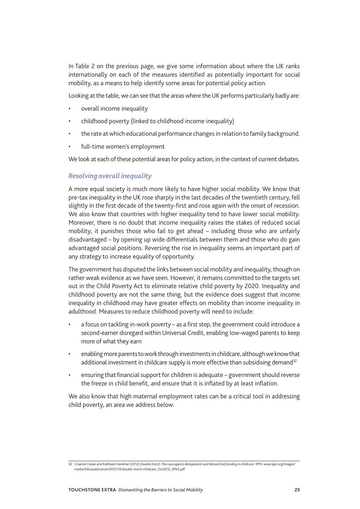In Table 2 on the previous page, we give some information about where the UK ranks internationally on each of the measures identified as potentially important for social mobility, as a means to help identify some areas for potential policy action.

Looking at the table, we can see that the areas where the UK performs particularly badly are:

- overall income inequality
- childhood poverty (linked to childhood income inequality)
- the rate at which educational performance changes in relation to family background.
- full-time women's employment.

We look at each of these potential areas for policy action, in the context of current debates.

### *Resolving overall inequality*

A more equal society is much more likely to have higher social mobility. We know that pre-tax inequality in the UK rose sharply in the last decades of the twentieth century, fell slightly in the first decade of the twenty-first and rose again with the onset of recession. We also know that countries with higher inequality tend to have lower social mobility. Moreover, there is no doubt that income inequality raises the stakes of reduced social mobility; it punishes those who fail to get ahead – including those who are unfairly disadvantaged – by opening up wide differentials between them and those who do gain advantaged social positions. Reversing the rise in inequality seems an important part of any strategy to increase equality of opportunity.

The government has disputed the links between social mobility and inequality, though on rather weak evidence as we have seen. However, it remains committed to the targets set out in the Child Poverty Act to eliminate relative child poverty by 2020. Inequality and childhood poverty are not the same thing, but the evidence does suggest that income inequality in childhood may have greater effects on mobility than income inequality in adulthood. Measures to reduce childhood poverty will need to include:

- a focus on tackling in-work poverty as a first step, the government could introduce a second-earner disregard within Universal Credit, enabling low-waged parents to keep more of what they earn
- • enabling more parents to work through investments in childcare, although we know that additional investment in childcare supply is more effective than subsidising demand<sup>32</sup>
- ensuring that financial support for children is adequate government should reverse the freeze in child benefit, and ensure that it is inflated by at least inflation.

We also know that high maternal employment rates can be a critical tool in addressing child poverty, an area we address below.

<sup>32</sup> Graeme Cooke and Kathleen Henehan (2012) *Double Dutch: The case against deregulation and demand led funding in childcare.* IPPR. www.ippr.org/images/ media/files/publication/2012/10/double-dutch-childcare\_Oct2012\_9763.pdf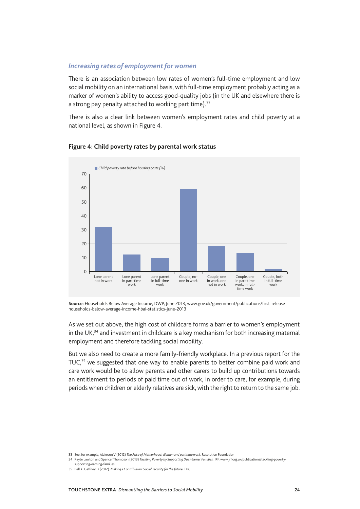### *Increasing rates of employment for women*

There is an association between low rates of women's full-time employment and low social mobility on an international basis, with full-time employment probably acting as a marker of women's ability to access good-quality jobs (in the UK and elsewhere there is a strong pay penalty attached to working part time).<sup>33</sup>

There is also a clear link between women's employment rates and child poverty at a national level, as shown in Figure 4.



#### **Figure 4: Child poverty rates by parental work status**

**Source:** Households Below Average Income, DWP, June 2013, www.gov.uk/government/publications/first-releasehouseholds-below-average-income-hbai-statistics-june-2013

As we set out above, the high cost of childcare forms a barrier to women's employment in the UK, $34$  and investment in childcare is a key mechanism for both increasing maternal employment and therefore tackling social mobility.

But we also need to create a more family-friendly workplace. In a previous report for the TUC,<sup>35</sup> we suggested that one way to enable parents to better combine paid work and care work would be to allow parents and other carers to build up contributions towards an entitlement to periods of paid time out of work, in order to care, for example, during periods when children or elderly relatives are sick, with the right to return to the same job.

<sup>33</sup> See, for example, Alakeson V (2012) *The Price of Motherhood: Women and part time work.* Resolution Foundation

<sup>34</sup> Kayte Lawton and Spencer Thompson (2013) *Tackling Poverty by Supporting Dual-Earner Families.* JRF. www.jrf.org.uk/publications/tackling-povertysupporting-earning-families

<sup>35</sup> Bell K, Gaffney D (2012). *Making a Contribution: Social security for the future.* TUC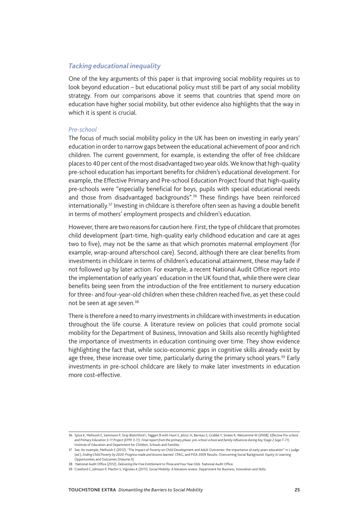### *Tacking educational inequality*

One of the key arguments of this paper is that improving social mobility requires us to look beyond education – but educational policy must still be part of any social mobility strategy. From our comparisons above it seems that countries that spend more on education have higher social mobility, but other evidence also highlights that the way in which it is spent is crucial.

#### *Pre-school*

The focus of much social mobility policy in the UK has been on investing in early years' education in order to narrow gaps between the educational achievement of poor and rich children. The current government, for example, is extending the offer of free childcare places to 40 per cent of the most disadvantaged two year olds. We know that high-quality pre-school education has important benefits for children's educational development. For example, the Effective Primary and Pre-school Education Project found that high-quality pre-schools were "especially beneficial for boys, pupils with special educational needs and those from disadvantaged backgrounds".<sup>36</sup> These findings have been reinforced internationally.<sup>37</sup> Investing in childcare is therefore often seen as having a double benefit in terms of mothers' employment prospects and children's education.

However, there are two reasons for caution here. First, the type of childcare that promotes child development (part-time, high-quality early childhood education and care at ages two to five), may not be the same as that which promotes maternal employment (for example, wrap-around afterschool care). Second, although there are clear benefits from investments in childcare in terms of children's educational attainment, these may fade if not followed up by later action. For example, a recent National Audit Office report into the implementation of early years' education in the UK found that, while there were clear benefits being seen from the introduction of the free entitlement to nursery education for three- and four-year-old children when these children reached five, as yet these could not be seen at age seven.<sup>38</sup>

There is therefore a need to marry investments in childcare with investments in education throughout the life course. A literature review on policies that could promote social mobility for the Department of Business, Innovation and Skills also recently highlighted the importance of investments in education continuing over time. They show evidence highlighting the fact that, while socio-economic gaps in cognitive skills already exist by age three, these increase over time, particularly during the primary school years.<sup>39</sup> Early investments in pre-school childcare are likely to make later investments in education more cost-effective.

<sup>36</sup> Sylva K, Melhuish E, Sammons P, Siraj-Blatchford I, Taggart B with Hunt S, Jelicic H, Barreau S, Grabbe Y, Smees R, Welcomme W (2008). *Effective Pre-school and Primary Education 3-11 Project (EPPE 3-11). Final report from the primary phase: pre-school school and family influences during Key Stage 2 (age 7–11).* Institute of Education and Department for Children, Schools and Families.

<sup>37</sup> See, for example, Melhuish E (2012), "The Impact of Poverty on Child Development and Adult Outcomes: the importance of early years education" in L Judge (ed.), *Ending Child Poverty by 2020: Progress made and lessons learned.* CPAG, and PISA 2009 Results: Overcoming Social Background: Equity in Learning Opportunities and Outcomes (Volume II).

<sup>38</sup> National Audit Office (2012). *Delivering the Free Entitlement to Three and Four Year Olds.* National Audit Office.

<sup>39</sup> Crawford C, Johnson P, Machin S, Vignoles A (2011). *Social Mobility: A literature review.* Department for Business, Innovation and Skills.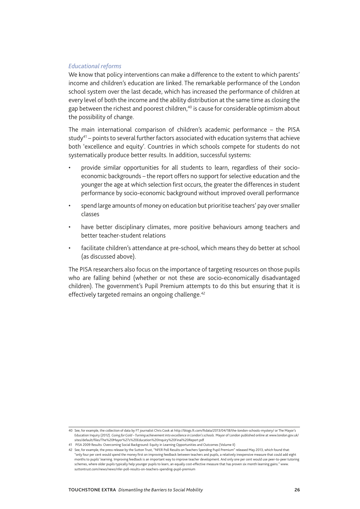#### *Educational reforms*

We know that policy interventions can make a difference to the extent to which parents' income and children's education are linked. The remarkable performance of the London school system over the last decade, which has increased the performance of children at every level of both the income and the ability distribution at the same time as closing the gap between the richest and poorest children,<sup>40</sup> is cause for considerable optimism about the possibility of change.

The main international comparison of children's academic performance – the PISA study $41$  – points to several further factors associated with education systems that achieve both 'excellence and equity'. Countries in which schools compete for students do not systematically produce better results. In addition, successful systems:

- provide similar opportunities for all students to learn, regardless of their socioeconomic backgrounds – the report offers no support for selective education and the younger the age at which selection first occurs, the greater the differences in student performance by socio-economic background without improved overall performance
- spend large amounts of money on education but prioritise teachers' pay over smaller classes
- have better disciplinary climates, more positive behaviours among teachers and better teacher-student relations
- facilitate children's attendance at pre-school, which means they do better at school (as discussed above).

The PISA researchers also focus on the importance of targeting resources on those pupils who are falling behind (whether or not these are socio-economically disadvantaged children). The government's Pupil Premium attempts to do this but ensuring that it is effectively targeted remains an ongoing challenge.<sup>42</sup>

<sup>40</sup> See, for example, the collection of data by FT journalist Chris Cook at http://blogs.ft.com/ftdata/2013/04/18/the-london-schools-mystery/ or The Mayor's Education Inquiry (2012). *Going for Gold – Turning achievement into excellence in London's schools.* Mayor of London published online at www.london.gov.uk/ sites/default/files/The%20Mayor%27s%20Education%20Inquiry%20Final%20Report.pdf

<sup>41</sup> PISA 2009 Results: Overcoming Social Background: Equity in Learning Opportunities and Outcomes (Volume II)

<sup>42</sup> See, for example, the press release by the Sutton Trust, "NFER Poll Results on Teachers Spending Pupil Premium" released May 2013, which found that: "only four per cent would spend the money first on improving feedback between teachers and pupils, a relatively inexpensive measure that could add eight months to pupils' learning. Improving feedback is an important way to improve teacher development. And only one per cent would use peer-to-peer tutoring schemes, where older pupils typically help younger pupils to learn, an equally cost-effective measure that has proven six month learning gains." www. suttontrust.com/news/news/nfer-poll-results-on-teachers-spending-pupil-premium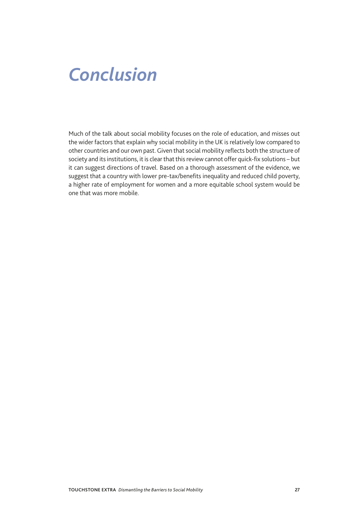# *Conclusion*

Much of the talk about social mobility focuses on the role of education, and misses out the wider factors that explain why social mobility in the UK is relatively low compared to other countries and our own past. Given that social mobility reflects both the structure of society and its institutions, it is clear that this review cannot offer quick-fix solutions – but it can suggest directions of travel. Based on a thorough assessment of the evidence, we suggest that a country with lower pre-tax/benefits inequality and reduced child poverty, a higher rate of employment for women and a more equitable school system would be one that was more mobile.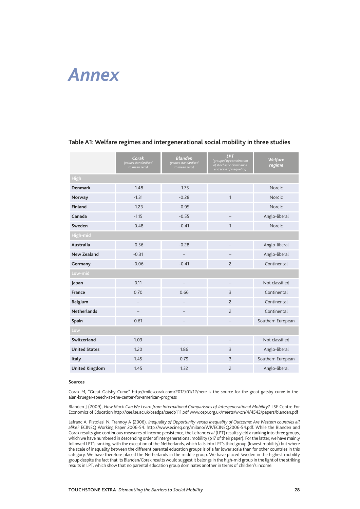### *Annex*

|                       | Corak<br>(values standardised<br>to mean zero) | <b>Blanden</b><br>(values standardised<br>to mean zero) | <b>LPT</b><br>(grouped by combination<br>of stochastic dominance<br>and scale of inequality) | Welfare<br>regime |  |
|-----------------------|------------------------------------------------|---------------------------------------------------------|----------------------------------------------------------------------------------------------|-------------------|--|
| High                  |                                                |                                                         |                                                                                              |                   |  |
| <b>Denmark</b>        | $-1.48$                                        | $-1.75$                                                 | $\qquad \qquad -$                                                                            | <b>Nordic</b>     |  |
| Norway                | $-1.31$                                        | $-0.28$                                                 | $\mathbf{1}$                                                                                 | Nordic            |  |
| <b>Finland</b>        | $-1.23$                                        | $-0.95$                                                 | $\qquad \qquad -$                                                                            | <b>Nordic</b>     |  |
| Canada                | $-1.15$                                        | $-0.55$                                                 |                                                                                              | Anglo-liberal     |  |
| Sweden                | $-0.48$                                        | $-0.41$                                                 | $\mathbf{1}$                                                                                 | <b>Nordic</b>     |  |
| High-mid              |                                                |                                                         |                                                                                              |                   |  |
| Australia             | $-0.56$                                        | $-0.28$                                                 | $\qquad \qquad -$                                                                            | Anglo-liberal     |  |
| <b>New Zealand</b>    | $-0.31$                                        | $\equiv$                                                |                                                                                              | Anglo-liberal     |  |
| Germany               | $-0.06$                                        | $-0.41$                                                 | $\overline{c}$                                                                               | Continental       |  |
| Low-mid               |                                                |                                                         |                                                                                              |                   |  |
| Japan                 | 0.11                                           | $\overline{\phantom{0}}$                                | $\overline{\phantom{0}}$                                                                     | Not classified    |  |
| France                | 0.70                                           | 0.66                                                    | $\overline{3}$                                                                               | Continental       |  |
| <b>Belgium</b>        | $\overline{\phantom{0}}$                       | $\overline{\phantom{0}}$                                | $\overline{c}$                                                                               | Continental       |  |
| <b>Netherlands</b>    | $\qquad \qquad -$                              | $\qquad \qquad -$                                       | $\overline{2}$                                                                               | Continental       |  |
| Spain                 | 0.61                                           | $\qquad \qquad -$                                       | $\qquad \qquad -$                                                                            | Southern European |  |
| Low                   |                                                |                                                         |                                                                                              |                   |  |
| Switzerland           | 1.03                                           | —                                                       | —                                                                                            | Not classified    |  |
| <b>United States</b>  | 1.20                                           | 1.86                                                    | $\overline{3}$                                                                               | Anglo-liberal     |  |
| Italy                 | 1.45                                           | 0.79                                                    | $\overline{3}$                                                                               | Southern European |  |
| <b>United Kingdom</b> | 1.45                                           | 1.32                                                    | $\overline{c}$                                                                               | Anglo-liberal     |  |

### **Table A1: Welfare regimes and intergenerational social mobility in three studies**

#### **Sources**

Corak M, "Great Gatsby Curve" http://milescorak.com/2012/01/12/here-is-the-source-for-the-great-gatsby-curve-in-thealan-krueger-speech-at-the-center-for-american-progress

Blanden J (2009), *How Much Can We Learn from International Comparisons of Intergenerational Mobility?* LSE Centre For Economics of Education http://cee.lse.ac.uk/ceedps/ceedp111.pdf www.cepr.org.uk/meets/wkcn/4/4542/papers/blanden.pdf

Lefranc A, Pistolesi N, Trannoy A (2006). *Inequality of Opportunity versus Inequality of Outcome: Are Western countries all alike?* ECINEQ Working Paper 2006-54. http://www.ecineq.org/milano/WP/ECINEQ2006-54.pdf. While the Blanden and Corak results give continuous measures of income persistence, the Lefranc *et al* (LPT) results yield a ranking into three groups, which we have numbered in descending order of intergenerational mobility (p17 of their paper). For the latter, we have mainly followed LPT's ranking, with the exception of the Netherlands, which falls into LPT's third group (lowest mobility) but where the scale of inequality between the different parental education groups is of a far lower scale than for other countries in this category. We have therefore placed the Netherlands in the middle group. We have placed Sweden in the highest mobility group despite the fact that its Blanden/Corak results would suggest it belongs in the high-mid group in the light of the striking results in LPT, which show that no parental education group dominates another in terms of children's income.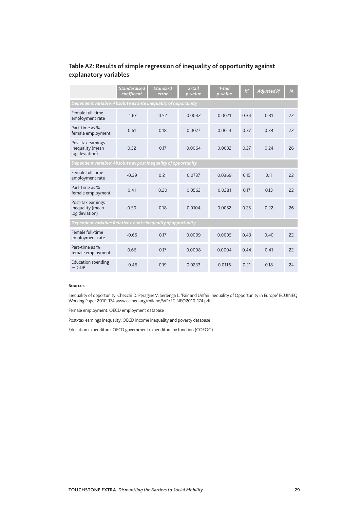### **Table A2: Results of simple regression of inequality of opportunity against explanatory variables**

|                                                                | <b>Standardised</b><br>coefficent | <b>Standard</b><br>error | $2-tail$<br>p-value | $1-tail$<br>p-value | $R^2$ | Adjusted $R^2$ | $\overline{N}$ |
|----------------------------------------------------------------|-----------------------------------|--------------------------|---------------------|---------------------|-------|----------------|----------------|
| Dependent variable: Absolute ex ante inequality of opportunity |                                   |                          |                     |                     |       |                |                |
| Female full-time<br>employment rate                            | $-1.67$                           | 0.52                     | 0.0042              | 0.0021              | 0.34  | 0.31           | 22             |
| Part-time as %<br>female employment                            | 0.61                              | 0.18                     | 0.0027              | 0.0014              | 0.37  | 0.34           | 22             |
| Post-tax earnings<br>inequality (mean<br>log deviation)        | 0.52                              | 0.17                     | 0.0064              | 0.0032              | 0.27  | 0.24           | 26             |
| Dependent variable: Absolute ex post inequality of opportunity |                                   |                          |                     |                     |       |                |                |
| Female full-time<br>employment rate                            | $-0.39$                           | 0.21                     | 0.0737              | 0.0369              | 0.15  | 0.11           | 22             |
| Part-time as %<br>female employment                            | 0.41                              | 0.20                     | 0.0562              | 0.0281              | 0.17  | 0.13           | 22             |
| Post-tax earnings<br>inequality (mean<br>log deviation)        | 0.50                              | 0.18                     | 0.0104              | 0.0052              | 0.25  | 0.22           | 26             |
| Dependent variable: Relative ex ante inequality of opportunity |                                   |                          |                     |                     |       |                |                |
| Female full-time<br>employment rate                            | $-0.66$                           | 0.17                     | 0.0009              | 0.0005              | 0.43  | 0.40           | 22             |
| Part-time as %<br>female employment                            | 0.66                              | 0.17                     | 0.0008              | 0.0004              | 0.44  | 0.41           | 22             |
| <b>Education spending</b><br>% GDP                             | $-0.46$                           | 0.19                     | 0.0233              | 0.0116              | 0.21  | 0.18           | 24             |

#### **Sources**

Inequality of opportunity: Checchi D. Peragine V. Serlenga L. 'Fair and Unfair Inequality of Opportunity in Europe' ECUINEQ Working Paper 2010-174 www.ecineq.org/milano/WP/ECINEQ2010-174.pdf

Female employment: OECD employment database

Post-tax earnings inequality: OECD income inequality and poverty database

Education expenditure: OECD government expenditure by function (COFOG)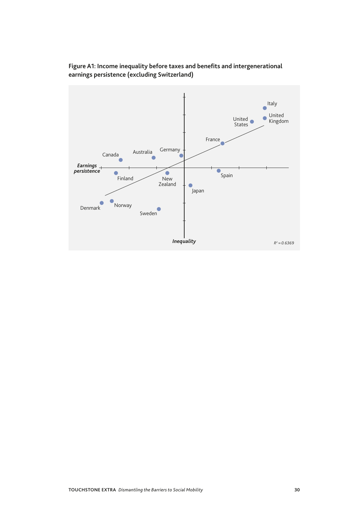

**Figure A1: Income inequality before taxes and benefits and intergenerational earnings persistence (excluding Switzerland)**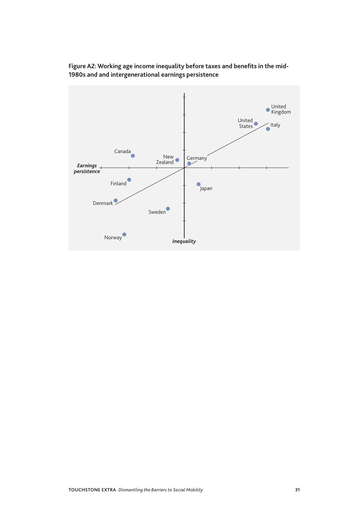

**Figure A2: Working age income inequality before taxes and benefits in the mid-1980s and and intergenerational earnings persistence**